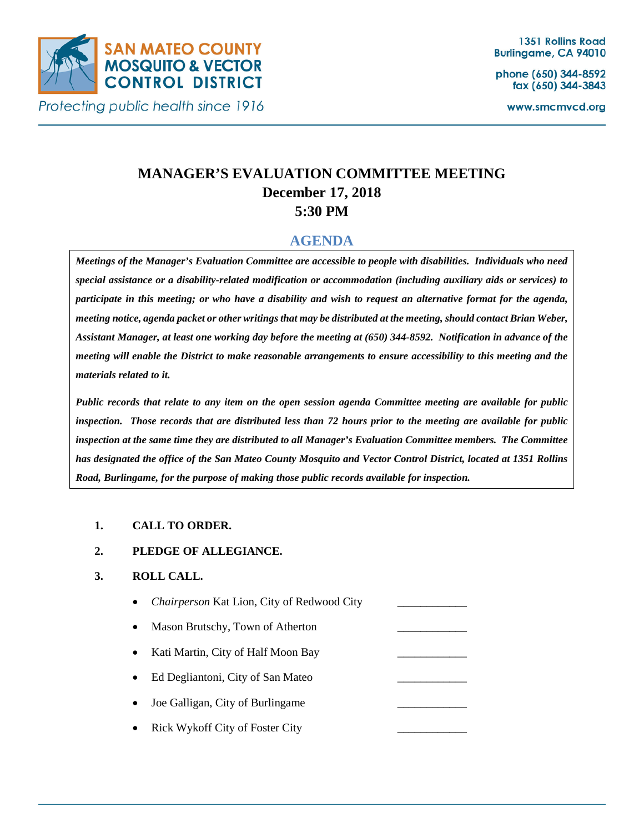

Protecting public health since 1916

phone (650) 344-8592 fax (650) 344-3843

www.smcmvcd.org

# **MANAGER'S EVALUATION COMMITTEE MEETING December 17, 2018 5:30 PM**

## **AGENDA**

*Meetings of the Manager's Evaluation Committee are accessible to people with disabilities. Individuals who need special assistance or a disability-related modification or accommodation (including auxiliary aids or services) to participate in this meeting; or who have a disability and wish to request an alternative format for the agenda, meeting notice, agenda packet or other writings that may be distributed at the meeting, should contact Brian Weber, Assistant Manager, at least one working day before the meeting at (650) 344-8592. Notification in advance of the meeting will enable the District to make reasonable arrangements to ensure accessibility to this meeting and the materials related to it.*

*Public records that relate to any item on the open session agenda Committee meeting are available for public inspection. Those records that are distributed less than 72 hours prior to the meeting are available for public inspection at the same time they are distributed to all Manager's Evaluation Committee members. The Committee has designated the office of the San Mateo County Mosquito and Vector Control District, located at 1351 Rollins Road, Burlingame, for the purpose of making those public records available for inspection.* 

#### **1. CALL TO ORDER.**

#### **2. PLEDGE OF ALLEGIANCE.**

#### **3. ROLL CALL.**

- *Chairperson* Kat Lion, City of Redwood City \_\_\_\_\_\_\_\_\_\_\_\_ Mason Brutschy, Town of Atherton
- Kati Martin, City of Half Moon Bay
- Ed Degliantoni, City of San Mateo
- Joe Galligan, City of Burlingame
- Rick Wykoff City of Foster City